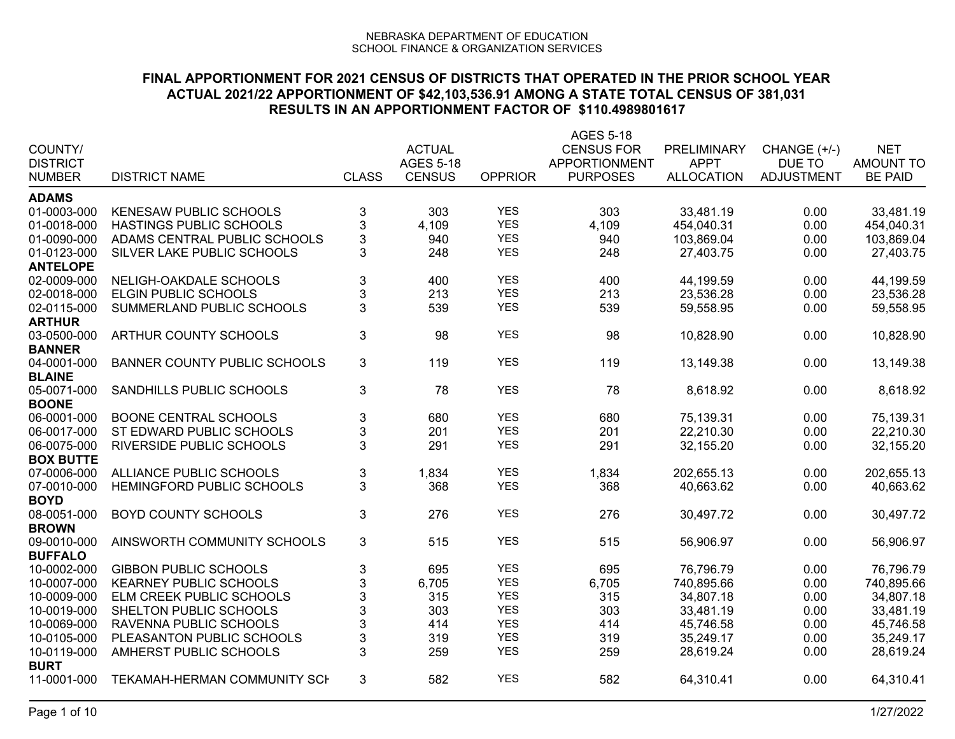|                            |                                     |                           |                  |                | AGES 5-18         |                   |                   |                  |
|----------------------------|-------------------------------------|---------------------------|------------------|----------------|-------------------|-------------------|-------------------|------------------|
| COUNTY/                    |                                     |                           | <b>ACTUAL</b>    |                | <b>CENSUS FOR</b> | PRELIMINARY       | CHANGE (+/-)      | <b>NET</b>       |
| <b>DISTRICT</b>            |                                     |                           | <b>AGES 5-18</b> |                | APPORTIONMENT     | <b>APPT</b>       | DUE TO            | <b>AMOUNT TO</b> |
| <b>NUMBER</b>              | <b>DISTRICT NAME</b>                | <b>CLASS</b>              | <b>CENSUS</b>    | <b>OPPRIOR</b> | <b>PURPOSES</b>   | <b>ALLOCATION</b> | <b>ADJUSTMENT</b> | <b>BE PAID</b>   |
| <b>ADAMS</b>               |                                     |                           |                  |                |                   |                   |                   |                  |
| 01-0003-000                | <b>KENESAW PUBLIC SCHOOLS</b>       | 3                         | 303              | <b>YES</b>     | 303               | 33,481.19         | 0.00              | 33,481.19        |
| 01-0018-000                | HASTINGS PUBLIC SCHOOLS             | $\mathbf{3}$              | 4,109            | <b>YES</b>     | 4,109             | 454,040.31        | 0.00              | 454,040.31       |
| 01-0090-000                | ADAMS CENTRAL PUBLIC SCHOOLS        | $\mathbf 3$               | 940              | <b>YES</b>     | 940               | 103,869.04        | 0.00              | 103,869.04       |
| 01-0123-000                | SILVER LAKE PUBLIC SCHOOLS          | $\mathbf{3}$              | 248              | <b>YES</b>     | 248               | 27,403.75         | 0.00              | 27,403.75        |
| <b>ANTELOPE</b>            |                                     |                           |                  |                |                   |                   |                   |                  |
| 02-0009-000                | NELIGH-OAKDALE SCHOOLS              | $\ensuremath{\mathsf{3}}$ | 400              | <b>YES</b>     | 400               | 44,199.59         | 0.00              | 44,199.59        |
| 02-0018-000                | <b>ELGIN PUBLIC SCHOOLS</b>         | $\mathbf{3}$              | 213              | <b>YES</b>     | 213               | 23,536.28         | 0.00              | 23,536.28        |
| 02-0115-000                | SUMMERLAND PUBLIC SCHOOLS           | 3                         | 539              | <b>YES</b>     | 539               | 59,558.95         | 0.00              | 59,558.95        |
| <b>ARTHUR</b>              |                                     |                           |                  |                |                   |                   |                   |                  |
| 03-0500-000                | ARTHUR COUNTY SCHOOLS               | $\mathbf{3}$              | 98               | <b>YES</b>     | 98                | 10,828.90         | 0.00              | 10,828.90        |
| <b>BANNER</b>              |                                     |                           |                  |                |                   |                   |                   |                  |
| 04-0001-000                | <b>BANNER COUNTY PUBLIC SCHOOLS</b> | 3                         | 119              | <b>YES</b>     | 119               | 13,149.38         | 0.00              | 13,149.38        |
| <b>BLAINE</b>              |                                     |                           |                  |                |                   |                   |                   |                  |
| 05-0071-000                | SANDHILLS PUBLIC SCHOOLS            | 3                         | 78               | <b>YES</b>     | 78                | 8,618.92          | 0.00              | 8,618.92         |
| <b>BOONE</b>               |                                     |                           |                  |                |                   |                   |                   |                  |
| 06-0001-000                | <b>BOONE CENTRAL SCHOOLS</b>        | $\ensuremath{\mathsf{3}}$ | 680              | <b>YES</b>     | 680               | 75,139.31         | 0.00              | 75,139.31        |
| 06-0017-000                | ST EDWARD PUBLIC SCHOOLS            | $\ensuremath{\mathsf{3}}$ | 201              | <b>YES</b>     | 201               | 22,210.30         | 0.00              | 22,210.30        |
| 06-0075-000                | RIVERSIDE PUBLIC SCHOOLS            | 3                         | 291              | <b>YES</b>     | 291               | 32,155.20         | 0.00              | 32,155.20        |
| <b>BOX BUTTE</b>           |                                     |                           |                  |                |                   |                   |                   |                  |
| 07-0006-000                | ALLIANCE PUBLIC SCHOOLS             | $\ensuremath{\mathsf{3}}$ | 1,834            | <b>YES</b>     | 1,834             | 202,655.13        | 0.00              | 202,655.13       |
| 07-0010-000                | HEMINGFORD PUBLIC SCHOOLS           | 3                         | 368              | <b>YES</b>     | 368               | 40,663.62         | 0.00              | 40,663.62        |
| <b>BOYD</b><br>08-0051-000 | <b>BOYD COUNTY SCHOOLS</b>          | 3                         | 276              | <b>YES</b>     | 276               | 30,497.72         | 0.00              | 30,497.72        |
| <b>BROWN</b>               |                                     |                           |                  |                |                   |                   |                   |                  |
| 09-0010-000                | AINSWORTH COMMUNITY SCHOOLS         | 3                         | 515              | <b>YES</b>     | 515               | 56,906.97         | 0.00              | 56,906.97        |
| <b>BUFFALO</b>             |                                     |                           |                  |                |                   |                   |                   |                  |
| 10-0002-000                | <b>GIBBON PUBLIC SCHOOLS</b>        | $\ensuremath{\mathsf{3}}$ | 695              | <b>YES</b>     | 695               | 76,796.79         | 0.00              | 76,796.79        |
| 10-0007-000                | <b>KEARNEY PUBLIC SCHOOLS</b>       | $\ensuremath{\mathsf{3}}$ | 6,705            | <b>YES</b>     | 6,705             | 740,895.66        | 0.00              | 740,895.66       |
| 10-0009-000                | ELM CREEK PUBLIC SCHOOLS            | $\ensuremath{\mathsf{3}}$ | 315              | <b>YES</b>     | 315               | 34,807.18         | 0.00              | 34,807.18        |
| 10-0019-000                | SHELTON PUBLIC SCHOOLS              | 3                         | 303              | <b>YES</b>     | 303               | 33,481.19         | 0.00              | 33,481.19        |
| 10-0069-000                | RAVENNA PUBLIC SCHOOLS              | $\sqrt{3}$                | 414              | <b>YES</b>     | 414               | 45,746.58         | 0.00              | 45,746.58        |
| 10-0105-000                | PLEASANTON PUBLIC SCHOOLS           | $\sqrt{3}$                | 319              | <b>YES</b>     | 319               | 35,249.17         | 0.00              | 35,249.17        |
| 10-0119-000                | AMHERST PUBLIC SCHOOLS              | 3                         | 259              | <b>YES</b>     | 259               | 28,619.24         | 0.00              | 28,619.24        |
| <b>BURT</b>                |                                     |                           |                  |                |                   |                   |                   |                  |
| 11-0001-000                | TEKAMAH-HERMAN COMMUNITY SCH        | 3                         | 582              | <b>YES</b>     | 582               | 64,310.41         | 0.00              | 64,310.41        |
|                            |                                     |                           |                  |                |                   |                   |                   |                  |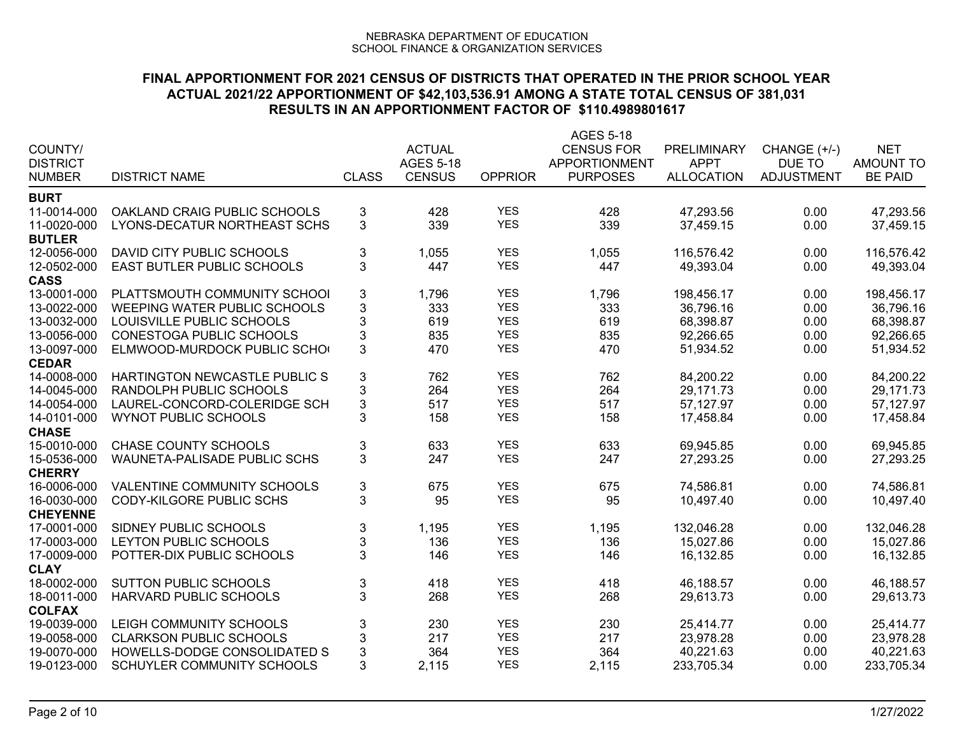| COUNTY/<br><b>DISTRICT</b><br><b>NUMBER</b> | <b>DISTRICT NAME</b>           | <b>CLASS</b>              | <b>ACTUAL</b><br><b>AGES 5-18</b><br><b>CENSUS</b> | <b>OPPRIOR</b>           | AGES 5-18<br><b>CENSUS FOR</b><br>APPORTIONMENT<br><b>PURPOSES</b> | PRELIMINARY<br><b>APPT</b><br><b>ALLOCATION</b> | CHANGE (+/-)<br>DUE TO<br><b>ADJUSTMENT</b> | <b>NET</b><br><b>AMOUNT TO</b><br><b>BE PAID</b> |
|---------------------------------------------|--------------------------------|---------------------------|----------------------------------------------------|--------------------------|--------------------------------------------------------------------|-------------------------------------------------|---------------------------------------------|--------------------------------------------------|
| <b>BURT</b>                                 |                                |                           |                                                    |                          |                                                                    |                                                 |                                             |                                                  |
| 11-0014-000                                 | OAKLAND CRAIG PUBLIC SCHOOLS   | 3                         | 428                                                | <b>YES</b>               | 428                                                                | 47,293.56                                       | 0.00                                        | 47,293.56                                        |
| 11-0020-000                                 | LYONS-DECATUR NORTHEAST SCHS   | 3                         | 339                                                | <b>YES</b>               | 339                                                                | 37,459.15                                       | 0.00                                        | 37,459.15                                        |
| <b>BUTLER</b>                               |                                |                           |                                                    |                          |                                                                    |                                                 |                                             |                                                  |
| 12-0056-000                                 | DAVID CITY PUBLIC SCHOOLS      | $\ensuremath{\mathsf{3}}$ | 1,055                                              | <b>YES</b>               | 1,055                                                              | 116,576.42                                      | 0.00                                        | 116,576.42                                       |
| 12-0502-000                                 | EAST BUTLER PUBLIC SCHOOLS     | 3                         | 447                                                | <b>YES</b>               | 447                                                                | 49,393.04                                       | 0.00                                        | 49,393.04                                        |
| <b>CASS</b>                                 |                                |                           |                                                    |                          |                                                                    |                                                 |                                             |                                                  |
| 13-0001-000                                 | PLATTSMOUTH COMMUNITY SCHOOL   | 3                         | 1,796                                              | <b>YES</b>               | 1,796                                                              | 198,456.17                                      | 0.00                                        | 198,456.17                                       |
| 13-0022-000                                 | WEEPING WATER PUBLIC SCHOOLS   | $\mathfrak{S}$            | 333                                                | <b>YES</b>               | 333                                                                | 36,796.16                                       | 0.00                                        | 36,796.16                                        |
| 13-0032-000                                 | LOUISVILLE PUBLIC SCHOOLS      | 3                         | 619                                                | <b>YES</b>               | 619                                                                | 68,398.87                                       | 0.00                                        | 68,398.87                                        |
| 13-0056-000                                 | CONESTOGA PUBLIC SCHOOLS       | $\mathbf 3$               | 835                                                | <b>YES</b>               | 835                                                                | 92,266.65                                       | 0.00                                        | 92,266.65                                        |
| 13-0097-000                                 | ELMWOOD-MURDOCK PUBLIC SCHO    | $\mathbf{3}$              | 470                                                | <b>YES</b>               | 470                                                                | 51,934.52                                       | 0.00                                        | 51,934.52                                        |
| <b>CEDAR</b>                                |                                |                           |                                                    |                          |                                                                    |                                                 |                                             |                                                  |
| 14-0008-000                                 | HARTINGTON NEWCASTLE PUBLIC S  | $\ensuremath{\mathsf{3}}$ | 762                                                | <b>YES</b>               | 762                                                                | 84,200.22                                       | 0.00                                        | 84,200.22                                        |
| 14-0045-000                                 | RANDOLPH PUBLIC SCHOOLS        | 3                         | 264                                                | <b>YES</b>               | 264                                                                | 29,171.73                                       | 0.00                                        | 29,171.73                                        |
| 14-0054-000                                 | LAUREL-CONCORD-COLERIDGE SCH   | $\mathsf 3$               | 517                                                | <b>YES</b>               | 517                                                                | 57,127.97                                       | 0.00                                        | 57,127.97                                        |
| 14-0101-000                                 | <b>WYNOT PUBLIC SCHOOLS</b>    | 3                         | 158                                                | <b>YES</b>               | 158                                                                | 17,458.84                                       | 0.00                                        | 17,458.84                                        |
| <b>CHASE</b>                                |                                |                           |                                                    |                          |                                                                    |                                                 |                                             |                                                  |
| 15-0010-000                                 | <b>CHASE COUNTY SCHOOLS</b>    | $\ensuremath{\mathsf{3}}$ | 633                                                | <b>YES</b><br><b>YES</b> | 633                                                                | 69,945.85                                       | 0.00                                        | 69,945.85                                        |
| 15-0536-000<br><b>CHERRY</b>                | WAUNETA-PALISADE PUBLIC SCHS   | 3                         | 247                                                |                          | 247                                                                | 27,293.25                                       | 0.00                                        | 27,293.25                                        |
| 16-0006-000                                 | VALENTINE COMMUNITY SCHOOLS    | $\ensuremath{\mathsf{3}}$ | 675                                                | <b>YES</b>               | 675                                                                | 74,586.81                                       | 0.00                                        | 74,586.81                                        |
| 16-0030-000                                 | CODY-KILGORE PUBLIC SCHS       | 3                         | 95                                                 | <b>YES</b>               | 95                                                                 | 10,497.40                                       | 0.00                                        | 10,497.40                                        |
| <b>CHEYENNE</b>                             |                                |                           |                                                    |                          |                                                                    |                                                 |                                             |                                                  |
| 17-0001-000                                 | SIDNEY PUBLIC SCHOOLS          | $\ensuremath{\mathsf{3}}$ | 1,195                                              | <b>YES</b>               | 1,195                                                              | 132,046.28                                      | 0.00                                        | 132,046.28                                       |
| 17-0003-000                                 | LEYTON PUBLIC SCHOOLS          | 3                         | 136                                                | <b>YES</b>               | 136                                                                | 15,027.86                                       | 0.00                                        | 15,027.86                                        |
| 17-0009-000                                 | POTTER-DIX PUBLIC SCHOOLS      | $\overline{3}$            | 146                                                | <b>YES</b>               | 146                                                                | 16,132.85                                       | 0.00                                        | 16,132.85                                        |
| <b>CLAY</b>                                 |                                |                           |                                                    |                          |                                                                    |                                                 |                                             |                                                  |
| 18-0002-000                                 | <b>SUTTON PUBLIC SCHOOLS</b>   | $\ensuremath{\mathsf{3}}$ | 418                                                | <b>YES</b>               | 418                                                                | 46,188.57                                       | 0.00                                        | 46,188.57                                        |
| 18-0011-000                                 | HARVARD PUBLIC SCHOOLS         | $\mathbf{3}$              | 268                                                | <b>YES</b>               | 268                                                                | 29,613.73                                       | 0.00                                        | 29,613.73                                        |
| <b>COLFAX</b>                               |                                |                           |                                                    |                          |                                                                    |                                                 |                                             |                                                  |
| 19-0039-000                                 | LEIGH COMMUNITY SCHOOLS        | $\ensuremath{\mathsf{3}}$ | 230                                                | <b>YES</b>               | 230                                                                | 25,414.77                                       | 0.00                                        | 25,414.77                                        |
| 19-0058-000                                 | <b>CLARKSON PUBLIC SCHOOLS</b> | $\ensuremath{\mathsf{3}}$ | 217                                                | <b>YES</b>               | 217                                                                | 23,978.28                                       | 0.00                                        | 23,978.28                                        |
| 19-0070-000                                 | HOWELLS-DODGE CONSOLIDATED S   | $\mathbf{3}$              | 364                                                | <b>YES</b>               | 364                                                                | 40,221.63                                       | 0.00                                        | 40,221.63                                        |
| 19-0123-000                                 | SCHUYLER COMMUNITY SCHOOLS     | 3                         | 2,115                                              | <b>YES</b>               | 2,115                                                              | 233,705.34                                      | 0.00                                        | 233,705.34                                       |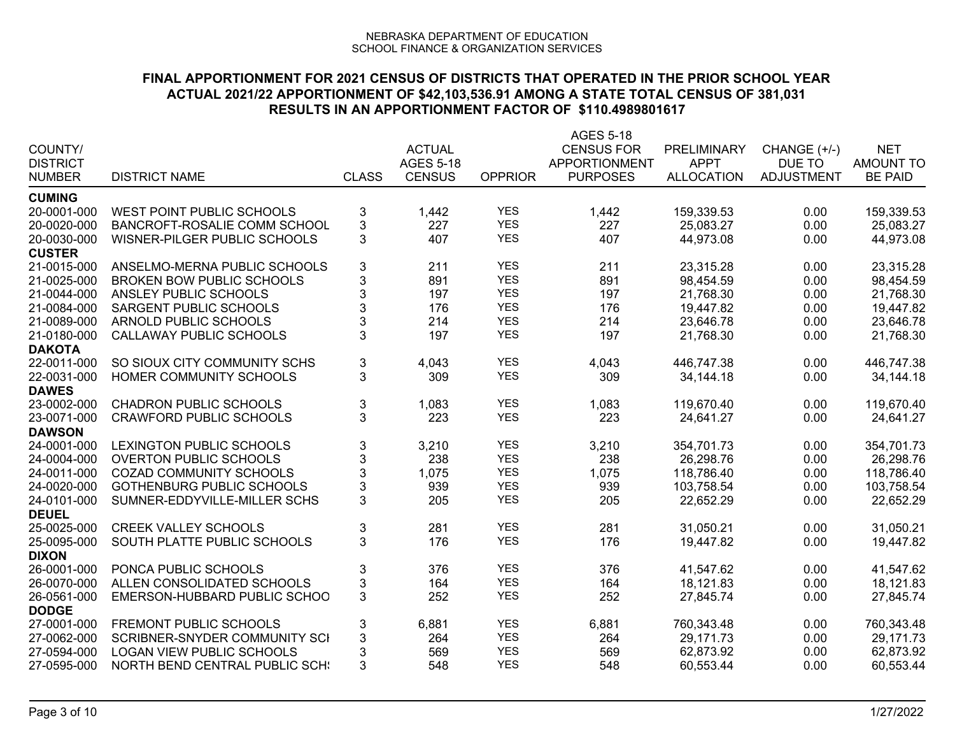| COUNTY/<br><b>DISTRICT</b><br><b>NUMBER</b> | <b>DISTRICT NAME</b>                  | <b>CLASS</b>              | <b>ACTUAL</b><br><b>AGES 5-18</b><br><b>CENSUS</b> | <b>OPPRIOR</b> | AGES 5-18<br><b>CENSUS FOR</b><br><b>APPORTIONMENT</b><br><b>PURPOSES</b> | PRELIMINARY<br><b>APPT</b><br><b>ALLOCATION</b> | CHANGE (+/-)<br>DUE TO<br><b>ADJUSTMENT</b> | <b>NET</b><br><b>AMOUNT TO</b><br><b>BE PAID</b> |
|---------------------------------------------|---------------------------------------|---------------------------|----------------------------------------------------|----------------|---------------------------------------------------------------------------|-------------------------------------------------|---------------------------------------------|--------------------------------------------------|
| <b>CUMING</b>                               |                                       |                           |                                                    |                |                                                                           |                                                 |                                             |                                                  |
| 20-0001-000                                 | WEST POINT PUBLIC SCHOOLS             | 3                         | 1,442                                              | <b>YES</b>     | 1,442                                                                     | 159,339.53                                      | 0.00                                        | 159,339.53                                       |
| 20-0020-000                                 | BANCROFT-ROSALIE COMM SCHOOL          | $\mathfrak{S}$            | 227                                                | <b>YES</b>     | 227                                                                       | 25,083.27                                       | 0.00                                        | 25,083.27                                        |
| 20-0030-000                                 | WISNER-PILGER PUBLIC SCHOOLS          | 3                         | 407                                                | <b>YES</b>     | 407                                                                       | 44,973.08                                       | 0.00                                        | 44,973.08                                        |
| <b>CUSTER</b>                               |                                       |                           |                                                    |                |                                                                           |                                                 |                                             |                                                  |
| 21-0015-000                                 | ANSELMO-MERNA PUBLIC SCHOOLS          | $\ensuremath{\mathsf{3}}$ | 211                                                | <b>YES</b>     | 211                                                                       | 23,315.28                                       | 0.00                                        | 23,315.28                                        |
| 21-0025-000                                 | <b>BROKEN BOW PUBLIC SCHOOLS</b>      | 3                         | 891                                                | <b>YES</b>     | 891                                                                       | 98,454.59                                       | 0.00                                        | 98,454.59                                        |
| 21-0044-000                                 | ANSLEY PUBLIC SCHOOLS                 | 3                         | 197                                                | <b>YES</b>     | 197                                                                       | 21,768.30                                       | 0.00                                        | 21,768.30                                        |
| 21-0084-000                                 | SARGENT PUBLIC SCHOOLS                | 3                         | 176                                                | <b>YES</b>     | 176                                                                       | 19,447.82                                       | 0.00                                        | 19,447.82                                        |
| 21-0089-000                                 | ARNOLD PUBLIC SCHOOLS                 | 3                         | 214                                                | <b>YES</b>     | 214                                                                       | 23,646.78                                       | 0.00                                        | 23,646.78                                        |
| 21-0180-000                                 | CALLAWAY PUBLIC SCHOOLS               | 3                         | 197                                                | <b>YES</b>     | 197                                                                       | 21,768.30                                       | 0.00                                        | 21,768.30                                        |
| <b>DAKOTA</b>                               |                                       |                           |                                                    |                |                                                                           |                                                 |                                             |                                                  |
| 22-0011-000                                 | SO SIOUX CITY COMMUNITY SCHS          | $\mathbf 3$               | 4,043                                              | <b>YES</b>     | 4,043                                                                     | 446,747.38                                      | 0.00                                        | 446,747.38                                       |
| 22-0031-000                                 | HOMER COMMUNITY SCHOOLS               | 3                         | 309                                                | <b>YES</b>     | 309                                                                       | 34,144.18                                       | 0.00                                        | 34,144.18                                        |
| <b>DAWES</b>                                |                                       |                           |                                                    |                |                                                                           |                                                 |                                             |                                                  |
| 23-0002-000                                 | <b>CHADRON PUBLIC SCHOOLS</b>         | $\ensuremath{\mathsf{3}}$ | 1,083                                              | <b>YES</b>     | 1,083                                                                     | 119,670.40                                      | 0.00                                        | 119,670.40                                       |
| 23-0071-000                                 | <b>CRAWFORD PUBLIC SCHOOLS</b>        | 3                         | 223                                                | <b>YES</b>     | 223                                                                       | 24,641.27                                       | 0.00                                        | 24,641.27                                        |
| <b>DAWSON</b>                               |                                       |                           |                                                    |                |                                                                           |                                                 |                                             |                                                  |
| 24-0001-000                                 | <b>LEXINGTON PUBLIC SCHOOLS</b>       | $\sqrt{3}$                | 3,210                                              | <b>YES</b>     | 3,210                                                                     | 354,701.73                                      | 0.00                                        | 354,701.73                                       |
| 24-0004-000                                 | <b>OVERTON PUBLIC SCHOOLS</b>         | $\mathbf 3$               | 238                                                | <b>YES</b>     | 238                                                                       | 26,298.76                                       | 0.00                                        | 26,298.76                                        |
| 24-0011-000                                 | <b>COZAD COMMUNITY SCHOOLS</b>        | $\mathbf{3}$              | 1,075                                              | <b>YES</b>     | 1,075                                                                     | 118,786.40                                      | 0.00                                        | 118,786.40                                       |
| 24-0020-000                                 | <b>GOTHENBURG PUBLIC SCHOOLS</b>      | $\ensuremath{\mathsf{3}}$ | 939                                                | <b>YES</b>     | 939                                                                       | 103,758.54                                      | 0.00                                        | 103,758.54                                       |
| 24-0101-000                                 | SUMNER-EDDYVILLE-MILLER SCHS          | 3                         | 205                                                | <b>YES</b>     | 205                                                                       | 22,652.29                                       | 0.00                                        | 22,652.29                                        |
| <b>DEUEL</b>                                |                                       |                           |                                                    |                |                                                                           |                                                 |                                             |                                                  |
| 25-0025-000                                 | <b>CREEK VALLEY SCHOOLS</b>           | $\ensuremath{\mathsf{3}}$ | 281                                                | <b>YES</b>     | 281                                                                       | 31,050.21                                       | 0.00                                        | 31,050.21                                        |
| 25-0095-000                                 | SOUTH PLATTE PUBLIC SCHOOLS           | 3                         | 176                                                | <b>YES</b>     | 176                                                                       | 19,447.82                                       | 0.00                                        | 19,447.82                                        |
| <b>DIXON</b>                                |                                       |                           |                                                    |                |                                                                           |                                                 |                                             |                                                  |
| 26-0001-000                                 | PONCA PUBLIC SCHOOLS                  | 3                         | 376                                                | <b>YES</b>     | 376                                                                       | 41,547.62                                       | 0.00                                        | 41,547.62                                        |
| 26-0070-000                                 | ALLEN CONSOLIDATED SCHOOLS            | $\mathbf{3}$              | 164                                                | <b>YES</b>     | 164                                                                       | 18,121.83                                       | 0.00                                        | 18,121.83                                        |
| 26-0561-000                                 | EMERSON-HUBBARD PUBLIC SCHOO          | 3                         | 252                                                | <b>YES</b>     | 252                                                                       | 27,845.74                                       | 0.00                                        | 27,845.74                                        |
| <b>DODGE</b>                                |                                       |                           |                                                    |                |                                                                           |                                                 |                                             |                                                  |
| 27-0001-000                                 | FREMONT PUBLIC SCHOOLS                | $\ensuremath{\mathsf{3}}$ | 6,881                                              | <b>YES</b>     | 6,881                                                                     | 760,343.48                                      | 0.00                                        | 760,343.48                                       |
| 27-0062-000                                 | SCRIBNER-SNYDER COMMUNITY SCI         | $\ensuremath{\mathsf{3}}$ | 264                                                | <b>YES</b>     | 264                                                                       | 29,171.73                                       | 0.00                                        | 29,171.73                                        |
| 27-0594-000                                 | <b>LOGAN VIEW PUBLIC SCHOOLS</b>      | 3                         | 569                                                | <b>YES</b>     | 569                                                                       | 62,873.92                                       | 0.00                                        | 62,873.92                                        |
| 27-0595-000                                 | <b>NORTH BEND CENTRAL PUBLIC SCH:</b> | 3                         | 548                                                | <b>YES</b>     | 548                                                                       | 60,553.44                                       | 0.00                                        | 60,553.44                                        |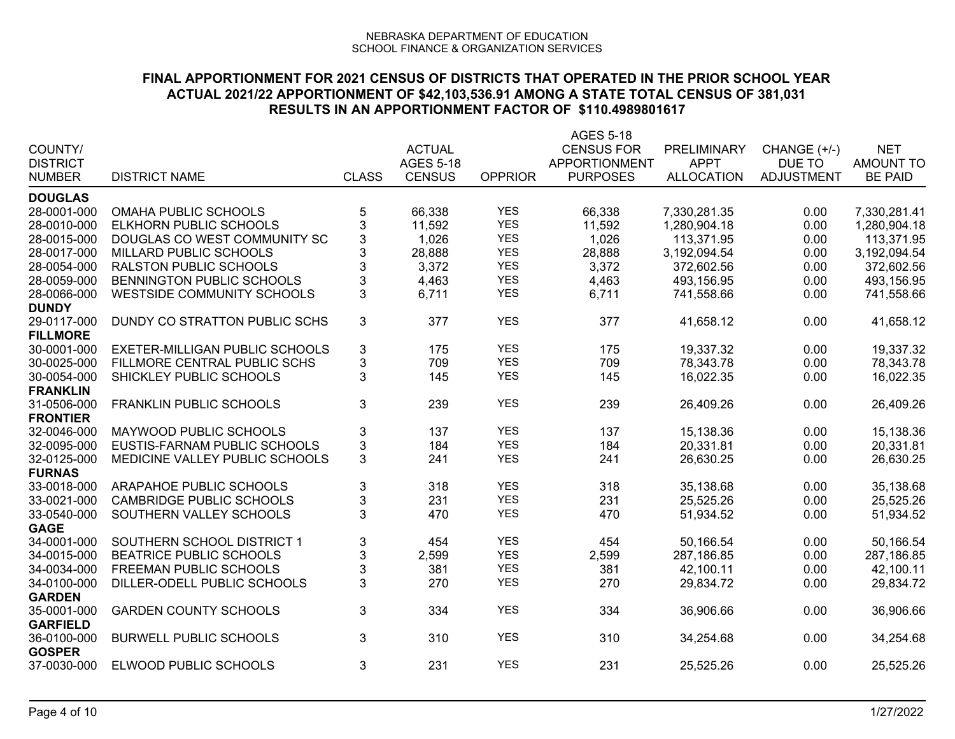|                 |                                 |                           |                  |                | <b>AGES 5-18</b>     |                   |                   |                  |
|-----------------|---------------------------------|---------------------------|------------------|----------------|----------------------|-------------------|-------------------|------------------|
| COUNTY/         |                                 |                           | <b>ACTUAL</b>    |                | <b>CENSUS FOR</b>    | PRELIMINARY       | CHANGE (+/-)      | <b>NET</b>       |
| <b>DISTRICT</b> |                                 |                           | <b>AGES 5-18</b> |                | <b>APPORTIONMENT</b> | <b>APPT</b>       | DUE TO            | <b>AMOUNT TO</b> |
| <b>NUMBER</b>   | <b>DISTRICT NAME</b>            | <b>CLASS</b>              | <b>CENSUS</b>    | <b>OPPRIOR</b> | <b>PURPOSES</b>      | <b>ALLOCATION</b> | <b>ADJUSTMENT</b> | <b>BE PAID</b>   |
| <b>DOUGLAS</b>  |                                 |                           |                  |                |                      |                   |                   |                  |
| 28-0001-000     | <b>OMAHA PUBLIC SCHOOLS</b>     | 5                         | 66,338           | <b>YES</b>     | 66,338               | 7,330,281.35      | 0.00              | 7,330,281.41     |
| 28-0010-000     | <b>ELKHORN PUBLIC SCHOOLS</b>   | 3                         | 11,592           | <b>YES</b>     | 11,592               | 1,280,904.18      | 0.00              | 1,280,904.18     |
| 28-0015-000     | DOUGLAS CO WEST COMMUNITY SC    | 3                         | 1,026            | <b>YES</b>     | 1,026                | 113,371.95        | 0.00              | 113,371.95       |
| 28-0017-000     | MILLARD PUBLIC SCHOOLS          | 3                         | 28,888           | <b>YES</b>     | 28,888               | 3,192,094.54      | 0.00              | 3,192,094.54     |
| 28-0054-000     | <b>RALSTON PUBLIC SCHOOLS</b>   | 3                         | 3,372            | <b>YES</b>     | 3,372                | 372,602.56        | 0.00              | 372,602.56       |
|                 |                                 | 3                         |                  | <b>YES</b>     |                      |                   |                   |                  |
| 28-0059-000     | BENNINGTON PUBLIC SCHOOLS       |                           | 4,463            |                | 4,463                | 493,156.95        | 0.00              | 493,156.95       |
| 28-0066-000     | WESTSIDE COMMUNITY SCHOOLS      | 3                         | 6,711            | <b>YES</b>     | 6,711                | 741,558.66        | 0.00              | 741,558.66       |
| <b>DUNDY</b>    |                                 |                           |                  |                |                      |                   |                   |                  |
| 29-0117-000     | DUNDY CO STRATTON PUBLIC SCHS   | 3                         | 377              | <b>YES</b>     | 377                  | 41,658.12         | 0.00              | 41,658.12        |
| <b>FILLMORE</b> |                                 |                           |                  |                |                      |                   |                   |                  |
| 30-0001-000     | EXETER-MILLIGAN PUBLIC SCHOOLS  | $\ensuremath{\mathsf{3}}$ | 175              | <b>YES</b>     | 175                  | 19,337.32         | 0.00              | 19,337.32        |
| 30-0025-000     | FILLMORE CENTRAL PUBLIC SCHS    | $\ensuremath{\mathsf{3}}$ | 709              | <b>YES</b>     | 709                  | 78,343.78         | 0.00              | 78,343.78        |
| 30-0054-000     | SHICKLEY PUBLIC SCHOOLS         | 3                         | 145              | <b>YES</b>     | 145                  | 16,022.35         | 0.00              | 16,022.35        |
| <b>FRANKLIN</b> |                                 |                           |                  |                |                      |                   |                   |                  |
| 31-0506-000     | <b>FRANKLIN PUBLIC SCHOOLS</b>  | 3                         | 239              | <b>YES</b>     | 239                  | 26,409.26         | 0.00              | 26,409.26        |
| <b>FRONTIER</b> |                                 |                           |                  |                |                      |                   |                   |                  |
| 32-0046-000     | MAYWOOD PUBLIC SCHOOLS          | 3                         | 137              | <b>YES</b>     | 137                  | 15,138.36         | 0.00              | 15,138.36        |
| 32-0095-000     | EUSTIS-FARNAM PUBLIC SCHOOLS    | $\mathbf{3}$              | 184              | <b>YES</b>     | 184                  | 20,331.81         | 0.00              | 20,331.81        |
| 32-0125-000     | MEDICINE VALLEY PUBLIC SCHOOLS  | 3                         | 241              | <b>YES</b>     | 241                  | 26,630.25         | 0.00              | 26,630.25        |
| <b>FURNAS</b>   |                                 |                           |                  |                |                      |                   |                   |                  |
| 33-0018-000     | ARAPAHOE PUBLIC SCHOOLS         | $\ensuremath{\mathsf{3}}$ | 318              | <b>YES</b>     | 318                  | 35,138.68         | 0.00              | 35,138.68        |
| 33-0021-000     | <b>CAMBRIDGE PUBLIC SCHOOLS</b> | $\ensuremath{\mathsf{3}}$ | 231              | <b>YES</b>     | 231                  | 25,525.26         | 0.00              | 25,525.26        |
| 33-0540-000     | SOUTHERN VALLEY SCHOOLS         | $\overline{3}$            | 470              | <b>YES</b>     | 470                  | 51,934.52         | 0.00              | 51,934.52        |
| <b>GAGE</b>     |                                 |                           |                  |                |                      |                   |                   |                  |
| 34-0001-000     | SOUTHERN SCHOOL DISTRICT 1      | $\ensuremath{\mathsf{3}}$ | 454              | <b>YES</b>     | 454                  | 50,166.54         | 0.00              | 50,166.54        |
| 34-0015-000     | <b>BEATRICE PUBLIC SCHOOLS</b>  | $\mathbf{3}$              | 2,599            | <b>YES</b>     | 2,599                | 287,186.85        | 0.00              | 287,186.85       |
| 34-0034-000     | FREEMAN PUBLIC SCHOOLS          | 3                         | 381              | <b>YES</b>     | 381                  | 42,100.11         | 0.00              | 42,100.11        |
| 34-0100-000     |                                 | 3                         | 270              | <b>YES</b>     |                      |                   |                   |                  |
|                 | DILLER-ODELL PUBLIC SCHOOLS     |                           |                  |                | 270                  | 29,834.72         | 0.00              | 29,834.72        |
| <b>GARDEN</b>   |                                 |                           |                  | <b>YES</b>     |                      |                   |                   |                  |
| 35-0001-000     | <b>GARDEN COUNTY SCHOOLS</b>    | 3                         | 334              |                | 334                  | 36,906.66         | 0.00              | 36,906.66        |
| <b>GARFIELD</b> |                                 |                           |                  |                |                      |                   |                   |                  |
| 36-0100-000     | <b>BURWELL PUBLIC SCHOOLS</b>   | 3                         | 310              | <b>YES</b>     | 310                  | 34,254.68         | 0.00              | 34,254.68        |
| <b>GOSPER</b>   |                                 |                           |                  |                |                      |                   |                   |                  |
| 37-0030-000     | ELWOOD PUBLIC SCHOOLS           | 3                         | 231              | <b>YES</b>     | 231                  | 25,525.26         | 0.00              | 25,525.26        |
|                 |                                 |                           |                  |                |                      |                   |                   |                  |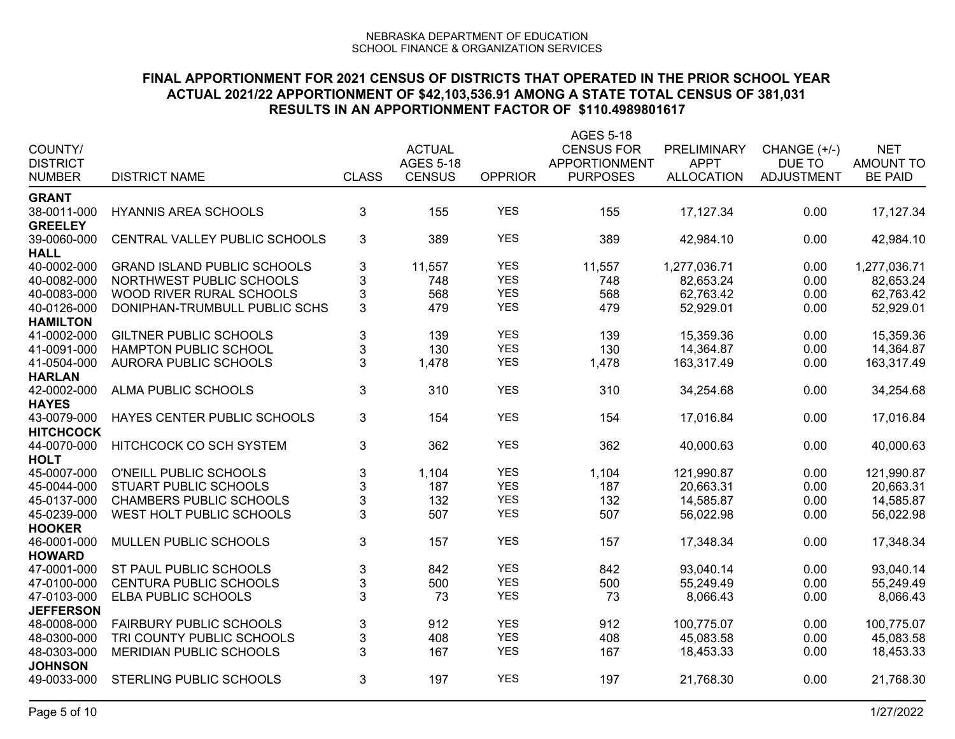|                               |                                    |                           |                  |                          | AGES 5-18            |                    |                   |                  |
|-------------------------------|------------------------------------|---------------------------|------------------|--------------------------|----------------------|--------------------|-------------------|------------------|
| COUNTY/                       |                                    |                           | <b>ACTUAL</b>    |                          | <b>CENSUS FOR</b>    | <b>PRELIMINARY</b> | CHANGE (+/-)      | <b>NET</b>       |
| <b>DISTRICT</b>               |                                    |                           | <b>AGES 5-18</b> |                          | <b>APPORTIONMENT</b> | <b>APPT</b>        | DUE TO            | <b>AMOUNT TO</b> |
| <b>NUMBER</b>                 | <b>DISTRICT NAME</b>               | <b>CLASS</b>              | <b>CENSUS</b>    | <b>OPPRIOR</b>           | <b>PURPOSES</b>      | <b>ALLOCATION</b>  | <b>ADJUSTMENT</b> | <b>BE PAID</b>   |
| <b>GRANT</b>                  |                                    |                           |                  |                          |                      |                    |                   |                  |
| 38-0011-000                   | <b>HYANNIS AREA SCHOOLS</b>        | $\mathbf{3}$              | 155              | <b>YES</b>               | 155                  | 17, 127.34         | 0.00              | 17,127.34        |
| <b>GREELEY</b>                |                                    |                           |                  |                          |                      |                    |                   |                  |
| 39-0060-000                   | CENTRAL VALLEY PUBLIC SCHOOLS      | 3                         | 389              | <b>YES</b>               | 389                  | 42,984.10          | 0.00              | 42,984.10        |
| <b>HALL</b>                   |                                    |                           |                  |                          |                      |                    |                   |                  |
| 40-0002-000                   | <b>GRAND ISLAND PUBLIC SCHOOLS</b> | $\ensuremath{\mathsf{3}}$ | 11,557           | <b>YES</b>               | 11,557               | 1,277,036.71       | 0.00              | 1,277,036.71     |
| 40-0082-000                   | NORTHWEST PUBLIC SCHOOLS           | $\sqrt{3}$                | 748              | <b>YES</b>               | 748                  | 82,653.24          | 0.00              | 82,653.24        |
| 40-0083-000                   | WOOD RIVER RURAL SCHOOLS           | $\ensuremath{\mathsf{3}}$ | 568              | <b>YES</b>               | 568                  | 62,763.42          | 0.00              | 62,763.42        |
| 40-0126-000                   | DONIPHAN-TRUMBULL PUBLIC SCHS      | $\mathbf{3}$              | 479              | <b>YES</b>               | 479                  | 52,929.01          | 0.00              | 52,929.01        |
| <b>HAMILTON</b>               |                                    |                           |                  |                          |                      |                    |                   |                  |
| 41-0002-000                   | <b>GILTNER PUBLIC SCHOOLS</b>      | $\ensuremath{\mathsf{3}}$ | 139              | <b>YES</b>               | 139                  | 15,359.36          | 0.00              | 15,359.36        |
| 41-0091-000                   | HAMPTON PUBLIC SCHOOL              | $\ensuremath{\mathsf{3}}$ | 130              | <b>YES</b>               | 130                  | 14,364.87          | 0.00              | 14,364.87        |
| 41-0504-000                   | AURORA PUBLIC SCHOOLS              | 3                         | 1,478            | <b>YES</b>               | 1,478                | 163,317.49         | 0.00              | 163,317.49       |
| <b>HARLAN</b>                 |                                    |                           |                  |                          |                      |                    |                   |                  |
| 42-0002-000                   | ALMA PUBLIC SCHOOLS                | $\mathbf{3}$              | 310              | <b>YES</b>               | 310                  | 34,254.68          | 0.00              | 34,254.68        |
| <b>HAYES</b>                  |                                    |                           |                  |                          |                      |                    |                   |                  |
| 43-0079-000                   | HAYES CENTER PUBLIC SCHOOLS        | $\mathfrak{S}$            | 154              | <b>YES</b>               | 154                  | 17,016.84          | 0.00              | 17,016.84        |
| <b>HITCHCOCK</b>              |                                    |                           |                  |                          |                      |                    |                   |                  |
| 44-0070-000                   | HITCHCOCK CO SCH SYSTEM            | $\mathfrak{B}$            | 362              | <b>YES</b>               | 362                  | 40,000.63          | 0.00              | 40,000.63        |
| <b>HOLT</b>                   |                                    |                           |                  |                          |                      |                    |                   |                  |
| 45-0007-000                   | O'NEILL PUBLIC SCHOOLS             | $\sqrt{3}$                | 1,104            | <b>YES</b>               | 1,104                | 121,990.87         | 0.00              | 121,990.87       |
| 45-0044-000                   | STUART PUBLIC SCHOOLS              | $\ensuremath{\mathsf{3}}$ | 187              | <b>YES</b>               | 187                  | 20,663.31          | 0.00              | 20,663.31        |
| 45-0137-000                   | <b>CHAMBERS PUBLIC SCHOOLS</b>     | $\ensuremath{\mathsf{3}}$ | 132              | <b>YES</b>               | 132                  | 14,585.87          | 0.00              | 14,585.87        |
| 45-0239-000                   | WEST HOLT PUBLIC SCHOOLS           | 3                         | 507              | <b>YES</b>               | 507                  | 56,022.98          | 0.00              | 56,022.98        |
| <b>HOOKER</b>                 |                                    |                           |                  |                          |                      |                    |                   |                  |
| 46-0001-000                   | MULLEN PUBLIC SCHOOLS              | $\mathfrak{B}$            | 157              | <b>YES</b>               | 157                  | 17,348.34          | 0.00              | 17,348.34        |
| <b>HOWARD</b>                 |                                    |                           |                  |                          |                      |                    |                   |                  |
| 47-0001-000                   | ST PAUL PUBLIC SCHOOLS             | $\ensuremath{\mathsf{3}}$ | 842              | <b>YES</b>               | 842                  | 93,040.14          | 0.00              | 93,040.14        |
| 47-0100-000                   | <b>CENTURA PUBLIC SCHOOLS</b>      | $\ensuremath{\mathsf{3}}$ | 500              | <b>YES</b>               | 500                  | 55,249.49          | 0.00              | 55,249.49        |
| 47-0103-000                   | ELBA PUBLIC SCHOOLS                | 3                         | 73               | <b>YES</b>               | 73                   | 8,066.43           | 0.00              | 8,066.43         |
| <b>JEFFERSON</b>              |                                    |                           |                  |                          |                      |                    |                   |                  |
| 48-0008-000                   | <b>FAIRBURY PUBLIC SCHOOLS</b>     | $\mathbf{3}$              | 912              | <b>YES</b><br><b>YES</b> | 912                  | 100,775.07         | 0.00              | 100,775.07       |
| 48-0300-000                   | TRI COUNTY PUBLIC SCHOOLS          | $\ensuremath{\mathsf{3}}$ | 408              |                          | 408                  | 45,083.58          | 0.00              | 45,083.58        |
| 48-0303-000<br><b>JOHNSON</b> | <b>MERIDIAN PUBLIC SCHOOLS</b>     | $\mathbf{3}$              | 167              | <b>YES</b>               | 167                  | 18,453.33          | 0.00              | 18,453.33        |
| 49-0033-000                   | <b>STERLING PUBLIC SCHOOLS</b>     | 3                         | 197              | <b>YES</b>               | 197                  | 21,768.30          | 0.00              | 21,768.30        |
|                               |                                    |                           |                  |                          |                      |                    |                   |                  |
|                               |                                    |                           |                  |                          |                      |                    |                   |                  |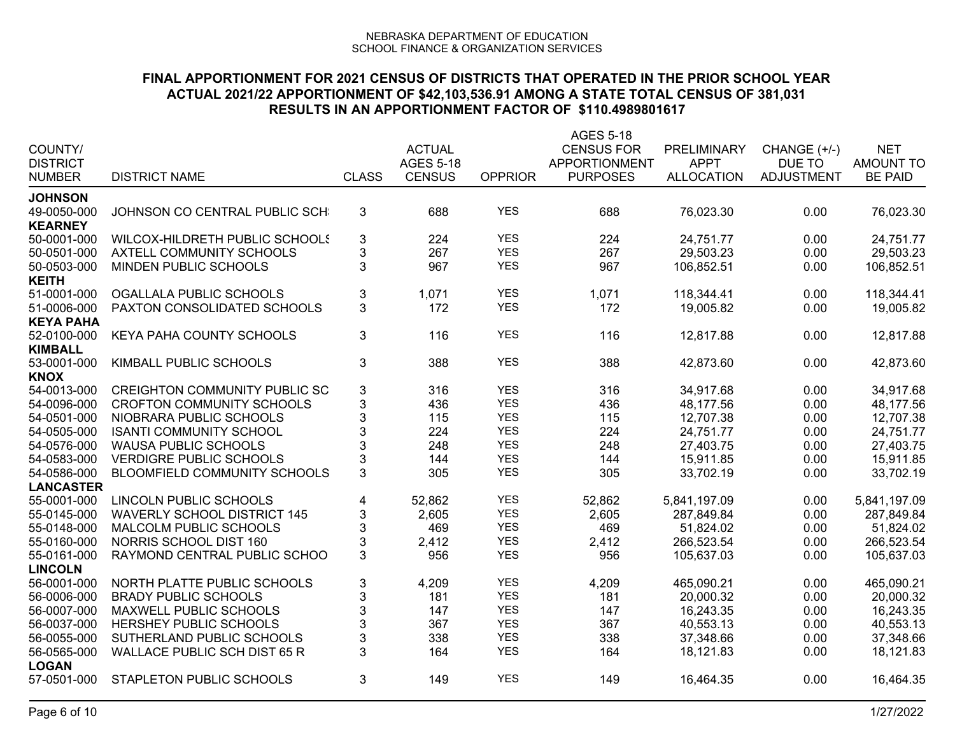| COUNTY/          |                                      |                           | <b>ACTUAL</b>    |                | AGES 5-18<br><b>CENSUS FOR</b> | <b>PRELIMINARY</b>               | CHANGE (+/-)                | <b>NET</b>       |
|------------------|--------------------------------------|---------------------------|------------------|----------------|--------------------------------|----------------------------------|-----------------------------|------------------|
| <b>DISTRICT</b>  |                                      | <b>CLASS</b>              | <b>AGES 5-18</b> |                | APPORTIONMENT                  | <b>APPT</b><br><b>ALLOCATION</b> | DUE TO<br><b>ADJUSTMENT</b> | <b>AMOUNT TO</b> |
| <b>NUMBER</b>    | <b>DISTRICT NAME</b>                 |                           | <b>CENSUS</b>    | <b>OPPRIOR</b> | <b>PURPOSES</b>                |                                  |                             | <b>BE PAID</b>   |
| <b>JOHNSON</b>   |                                      |                           |                  |                |                                |                                  |                             |                  |
| 49-0050-000      | JOHNSON CO CENTRAL PUBLIC SCH        | 3                         | 688              | <b>YES</b>     | 688                            | 76,023.30                        | 0.00                        | 76,023.30        |
| <b>KEARNEY</b>   |                                      |                           |                  |                |                                |                                  |                             |                  |
| 50-0001-000      | WILCOX-HILDRETH PUBLIC SCHOOLS       | $\ensuremath{\mathsf{3}}$ | 224              | <b>YES</b>     | 224                            | 24,751.77                        | 0.00                        | 24,751.77        |
| 50-0501-000      | <b>AXTELL COMMUNITY SCHOOLS</b>      | $\mathbf{3}$              | 267              | <b>YES</b>     | 267                            | 29,503.23                        | 0.00                        | 29,503.23        |
| 50-0503-000      | MINDEN PUBLIC SCHOOLS                | 3                         | 967              | <b>YES</b>     | 967                            | 106,852.51                       | 0.00                        | 106,852.51       |
| <b>KEITH</b>     |                                      |                           |                  |                |                                |                                  |                             |                  |
| 51-0001-000      | OGALLALA PUBLIC SCHOOLS              | $\sqrt{3}$                | 1,071            | <b>YES</b>     | 1,071                          | 118,344.41                       | 0.00                        | 118,344.41       |
| 51-0006-000      | PAXTON CONSOLIDATED SCHOOLS          | 3                         | 172              | <b>YES</b>     | 172                            | 19,005.82                        | 0.00                        | 19,005.82        |
| <b>KEYA PAHA</b> |                                      |                           |                  |                |                                |                                  |                             |                  |
| 52-0100-000      | KEYA PAHA COUNTY SCHOOLS             | 3                         | 116              | <b>YES</b>     | 116                            | 12,817.88                        | 0.00                        | 12,817.88        |
| <b>KIMBALL</b>   |                                      |                           |                  |                |                                |                                  |                             |                  |
| 53-0001-000      | KIMBALL PUBLIC SCHOOLS               | $\mathbf{3}$              | 388              | <b>YES</b>     | 388                            | 42,873.60                        | 0.00                        | 42,873.60        |
| <b>KNOX</b>      |                                      |                           |                  |                |                                |                                  |                             |                  |
| 54-0013-000      | <b>CREIGHTON COMMUNITY PUBLIC SC</b> | $\sqrt{3}$                | 316              | <b>YES</b>     | 316                            | 34,917.68                        | 0.00                        | 34,917.68        |
| 54-0096-000      | <b>CROFTON COMMUNITY SCHOOLS</b>     | 3                         | 436              | <b>YES</b>     | 436                            | 48,177.56                        | 0.00                        | 48,177.56        |
| 54-0501-000      | NIOBRARA PUBLIC SCHOOLS              | $\sqrt{3}$                | 115              | <b>YES</b>     | 115                            | 12,707.38                        | 0.00                        | 12,707.38        |
| 54-0505-000      | <b>ISANTI COMMUNITY SCHOOL</b>       | 3                         | 224              | <b>YES</b>     | 224                            | 24,751.77                        | 0.00                        | 24,751.77        |
| 54-0576-000      | <b>WAUSA PUBLIC SCHOOLS</b>          | 3                         | 248              | <b>YES</b>     | 248                            | 27,403.75                        | 0.00                        | 27,403.75        |
| 54-0583-000      | <b>VERDIGRE PUBLIC SCHOOLS</b>       | 3                         | 144              | <b>YES</b>     | 144                            | 15,911.85                        | 0.00                        | 15,911.85        |
| 54-0586-000      | BLOOMFIELD COMMUNITY SCHOOLS         | 3                         | 305              | <b>YES</b>     | 305                            | 33,702.19                        | 0.00                        | 33,702.19        |
| <b>LANCASTER</b> |                                      |                           |                  |                |                                |                                  |                             |                  |
| 55-0001-000      | LINCOLN PUBLIC SCHOOLS               | 4                         | 52,862           | <b>YES</b>     | 52,862                         | 5,841,197.09                     | 0.00                        | 5,841,197.09     |
| 55-0145-000      | <b>WAVERLY SCHOOL DISTRICT 145</b>   | $\ensuremath{\mathsf{3}}$ | 2,605            | <b>YES</b>     | 2,605                          | 287,849.84                       | 0.00                        | 287,849.84       |
| 55-0148-000      | MALCOLM PUBLIC SCHOOLS               | $\ensuremath{\mathsf{3}}$ | 469              | <b>YES</b>     | 469                            | 51,824.02                        | 0.00                        | 51,824.02        |
| 55-0160-000      | NORRIS SCHOOL DIST 160               | $\ensuremath{\mathsf{3}}$ | 2,412            | <b>YES</b>     | 2,412                          | 266,523.54                       | 0.00                        | 266,523.54       |
| 55-0161-000      | RAYMOND CENTRAL PUBLIC SCHOO         | 3                         | 956              | <b>YES</b>     | 956                            | 105,637.03                       | 0.00                        | 105,637.03       |
| <b>LINCOLN</b>   |                                      |                           |                  |                |                                |                                  |                             |                  |
| 56-0001-000      | NORTH PLATTE PUBLIC SCHOOLS          | $\ensuremath{\mathsf{3}}$ | 4,209            | <b>YES</b>     | 4,209                          | 465,090.21                       | 0.00                        | 465,090.21       |
| 56-0006-000      | <b>BRADY PUBLIC SCHOOLS</b>          | $\ensuremath{\mathsf{3}}$ | 181              | <b>YES</b>     | 181                            | 20,000.32                        | 0.00                        | 20,000.32        |
| 56-0007-000      | MAXWELL PUBLIC SCHOOLS               | $\mathfrak{S}$            | 147              | <b>YES</b>     | 147                            | 16,243.35                        | 0.00                        | 16,243.35        |
| 56-0037-000      | HERSHEY PUBLIC SCHOOLS               | 3                         | 367              | <b>YES</b>     | 367                            | 40,553.13                        | 0.00                        | 40,553.13        |
| 56-0055-000      | SUTHERLAND PUBLIC SCHOOLS            | $\mathbf{3}$              | 338              | <b>YES</b>     | 338                            | 37,348.66                        | 0.00                        | 37,348.66        |
| 56-0565-000      | <b>WALLACE PUBLIC SCH DIST 65 R</b>  | 3                         | 164              | <b>YES</b>     | 164                            | 18,121.83                        | 0.00                        | 18,121.83        |
| <b>LOGAN</b>     |                                      |                           |                  |                |                                |                                  |                             |                  |
| 57-0501-000      | <b>STAPLETON PUBLIC SCHOOLS</b>      | $\mathbf{3}$              | 149              | <b>YES</b>     | 149                            | 16,464.35                        | 0.00                        | 16,464.35        |
|                  |                                      |                           |                  |                |                                |                                  |                             |                  |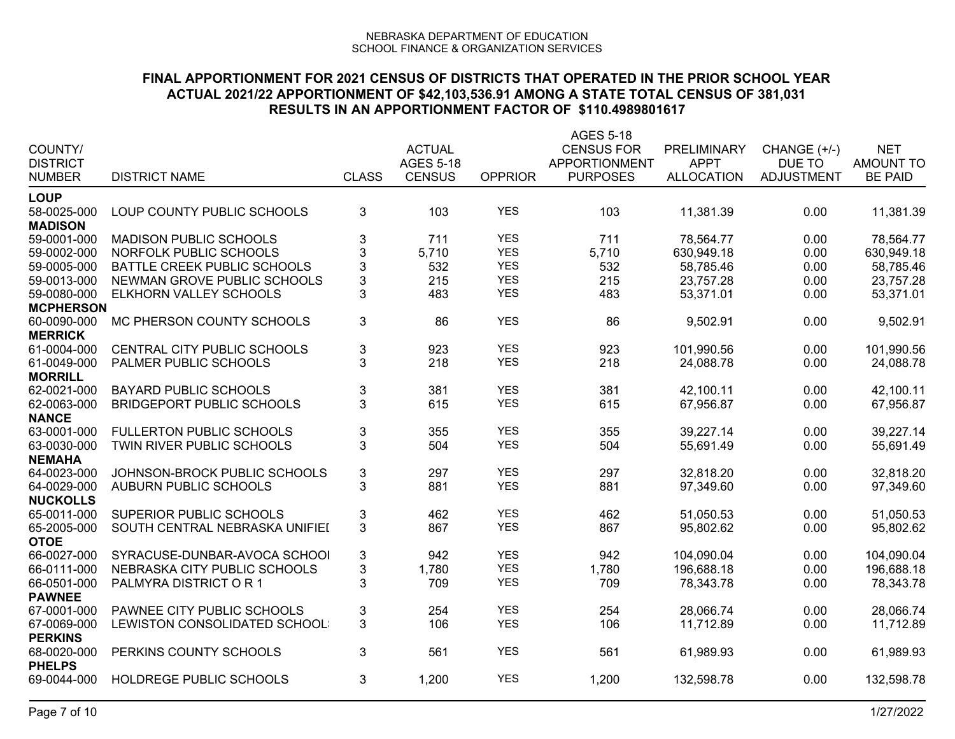|                              |                                  |                           |                  |                | <b>AGES 5-18</b>  |                   |                   |                  |
|------------------------------|----------------------------------|---------------------------|------------------|----------------|-------------------|-------------------|-------------------|------------------|
| COUNTY/                      |                                  |                           | <b>ACTUAL</b>    |                | <b>CENSUS FOR</b> | PRELIMINARY       | CHANGE (+/-)      | <b>NET</b>       |
| <b>DISTRICT</b>              |                                  |                           | <b>AGES 5-18</b> |                | APPORTIONMENT     | <b>APPT</b>       | DUE TO            | <b>AMOUNT TO</b> |
| <b>NUMBER</b>                | <b>DISTRICT NAME</b>             | <b>CLASS</b>              | <b>CENSUS</b>    | <b>OPPRIOR</b> | <b>PURPOSES</b>   | <b>ALLOCATION</b> | <b>ADJUSTMENT</b> | <b>BE PAID</b>   |
| <b>LOUP</b>                  |                                  |                           |                  |                |                   |                   |                   |                  |
| 58-0025-000                  | LOUP COUNTY PUBLIC SCHOOLS       | 3                         | 103              | <b>YES</b>     | 103               | 11,381.39         | 0.00              | 11,381.39        |
| <b>MADISON</b>               |                                  |                           |                  |                |                   |                   |                   |                  |
| 59-0001-000                  | <b>MADISON PUBLIC SCHOOLS</b>    | 3                         | 711              | <b>YES</b>     | 711               | 78,564.77         | 0.00              | 78,564.77        |
| 59-0002-000                  | NORFOLK PUBLIC SCHOOLS           | $\mathbf{3}$              | 5,710            | <b>YES</b>     | 5,710             | 630,949.18        | 0.00              | 630,949.18       |
| 59-0005-000                  | BATTLE CREEK PUBLIC SCHOOLS      | 3                         | 532              | <b>YES</b>     | 532               | 58,785.46         | 0.00              | 58,785.46        |
| 59-0013-000                  | NEWMAN GROVE PUBLIC SCHOOLS      | $\mathsf 3$               | 215              | <b>YES</b>     | 215               | 23,757.28         | 0.00              | 23,757.28        |
| 59-0080-000                  | ELKHORN VALLEY SCHOOLS           | 3                         | 483              | <b>YES</b>     | 483               | 53,371.01         | 0.00              | 53,371.01        |
| <b>MCPHERSON</b>             |                                  |                           |                  |                |                   |                   |                   |                  |
| 60-0090-000                  | MC PHERSON COUNTY SCHOOLS        | 3                         | 86               | <b>YES</b>     | 86                | 9,502.91          | 0.00              | 9,502.91         |
| <b>MERRICK</b>               |                                  |                           |                  |                |                   |                   |                   |                  |
| 61-0004-000                  | CENTRAL CITY PUBLIC SCHOOLS      | $\ensuremath{\mathsf{3}}$ | 923              | <b>YES</b>     | 923               | 101,990.56        | 0.00              | 101,990.56       |
| 61-0049-000                  | PALMER PUBLIC SCHOOLS            | 3                         | 218              | <b>YES</b>     | 218               | 24,088.78         | 0.00              | 24,088.78        |
| <b>MORRILL</b>               |                                  |                           |                  |                |                   |                   |                   |                  |
| 62-0021-000                  | <b>BAYARD PUBLIC SCHOOLS</b>     | 3                         | 381              | <b>YES</b>     | 381               | 42,100.11         | 0.00              | 42,100.11        |
| 62-0063-000                  | <b>BRIDGEPORT PUBLIC SCHOOLS</b> | 3                         | 615              | <b>YES</b>     | 615               | 67,956.87         | 0.00              | 67,956.87        |
| <b>NANCE</b>                 |                                  |                           |                  |                |                   |                   |                   |                  |
| 63-0001-000                  | <b>FULLERTON PUBLIC SCHOOLS</b>  | 3                         | 355              | <b>YES</b>     | 355               | 39,227.14         | 0.00              | 39,227.14        |
| 63-0030-000                  | TWIN RIVER PUBLIC SCHOOLS        | 3                         | 504              | <b>YES</b>     | 504               | 55,691.49         | 0.00              | 55,691.49        |
| <b>NEMAHA</b>                |                                  |                           |                  |                |                   |                   |                   |                  |
| 64-0023-000                  | JOHNSON-BROCK PUBLIC SCHOOLS     | 3                         | 297              | <b>YES</b>     | 297               | 32.818.20         | 0.00              | 32.818.20        |
| 64-0029-000                  | <b>AUBURN PUBLIC SCHOOLS</b>     | 3                         | 881              | <b>YES</b>     | 881               | 97,349.60         | 0.00              | 97,349.60        |
| <b>NUCKOLLS</b>              |                                  |                           |                  |                |                   |                   |                   |                  |
| 65-0011-000                  | SUPERIOR PUBLIC SCHOOLS          | 3                         | 462              | <b>YES</b>     | 462               | 51,050.53         | 0.00              | 51,050.53        |
| 65-2005-000                  | SOUTH CENTRAL NEBRASKA UNIFIEI   | 3                         | 867              | <b>YES</b>     | 867               | 95,802.62         | 0.00              | 95,802.62        |
| <b>OTOE</b>                  |                                  |                           |                  | <b>YES</b>     |                   |                   |                   |                  |
| 66-0027-000                  | SYRACUSE-DUNBAR-AVOCA SCHOOL     | 3                         | 942              | <b>YES</b>     | 942               | 104,090.04        | 0.00              | 104,090.04       |
| 66-0111-000                  | NEBRASKA CITY PUBLIC SCHOOLS     | 3                         | 1,780            |                | 1,780             | 196,688.18        | 0.00              | 196,688.18       |
| 66-0501-000                  | PALMYRA DISTRICT OR 1            | 3                         | 709              | <b>YES</b>     | 709               | 78,343.78         | 0.00              | 78,343.78        |
| <b>PAWNEE</b><br>67-0001-000 | PAWNEE CITY PUBLIC SCHOOLS       |                           | 254              | <b>YES</b>     | 254               | 28,066.74         | 0.00              | 28,066.74        |
| 67-0069-000                  | LEWISTON CONSOLIDATED SCHOOL:    | 3<br>3                    | 106              | <b>YES</b>     | 106               | 11,712.89         | 0.00              | 11,712.89        |
| <b>PERKINS</b>               |                                  |                           |                  |                |                   |                   |                   |                  |
| 68-0020-000                  | PERKINS COUNTY SCHOOLS           | 3                         | 561              | <b>YES</b>     | 561               | 61,989.93         | 0.00              | 61,989.93        |
| <b>PHELPS</b>                |                                  |                           |                  |                |                   |                   |                   |                  |
| 69-0044-000                  | HOLDREGE PUBLIC SCHOOLS          | 3                         | 1,200            | <b>YES</b>     | 1,200             | 132,598.78        | 0.00              | 132,598.78       |
|                              |                                  |                           |                  |                |                   |                   |                   |                  |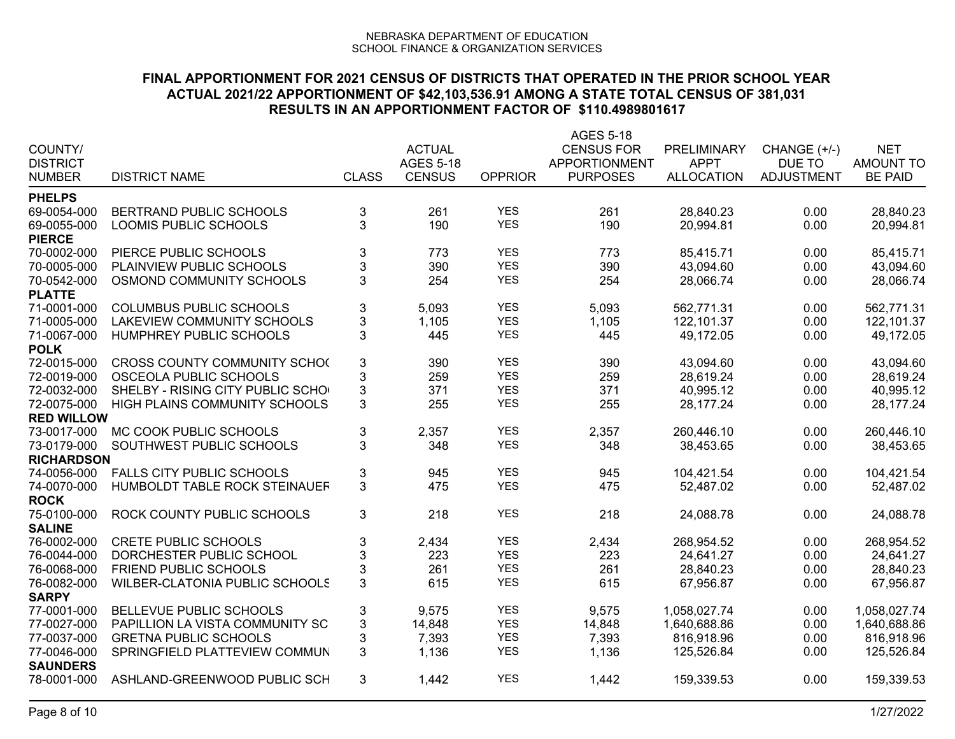| COUNTY/<br><b>DISTRICT</b><br><b>NUMBER</b> | <b>DISTRICT NAME</b>                  | <b>CLASS</b>              | <b>ACTUAL</b><br><b>AGES 5-18</b><br><b>CENSUS</b> | <b>OPPRIOR</b>           | <b>AGES 5-18</b><br><b>CENSUS FOR</b><br><b>APPORTIONMENT</b><br><b>PURPOSES</b> | PRELIMINARY<br><b>APPT</b><br><b>ALLOCATION</b> | CHANGE (+/-)<br>DUE TO<br><b>ADJUSTMENT</b> | <b>NET</b><br><b>AMOUNT TO</b><br><b>BE PAID</b> |
|---------------------------------------------|---------------------------------------|---------------------------|----------------------------------------------------|--------------------------|----------------------------------------------------------------------------------|-------------------------------------------------|---------------------------------------------|--------------------------------------------------|
| <b>PHELPS</b>                               |                                       |                           |                                                    |                          |                                                                                  |                                                 |                                             |                                                  |
| 69-0054-000                                 | BERTRAND PUBLIC SCHOOLS               | $\ensuremath{\mathsf{3}}$ | 261                                                | <b>YES</b>               | 261                                                                              | 28,840.23                                       | 0.00                                        | 28,840.23                                        |
| 69-0055-000                                 | LOOMIS PUBLIC SCHOOLS                 | 3                         | 190                                                | <b>YES</b>               | 190                                                                              | 20,994.81                                       | 0.00                                        | 20,994.81                                        |
| <b>PIERCE</b>                               |                                       |                           |                                                    |                          |                                                                                  |                                                 |                                             |                                                  |
| 70-0002-000                                 | PIERCE PUBLIC SCHOOLS                 | $\mathbf{3}$              | 773                                                | <b>YES</b>               | 773                                                                              | 85,415.71                                       | 0.00                                        | 85,415.71                                        |
| 70-0005-000                                 | PLAINVIEW PUBLIC SCHOOLS              | $\sqrt{3}$                | 390                                                | <b>YES</b>               | 390                                                                              | 43,094.60                                       | 0.00                                        | 43,094.60                                        |
| 70-0542-000                                 | OSMOND COMMUNITY SCHOOLS              | 3                         | 254                                                | <b>YES</b>               | 254                                                                              | 28,066.74                                       | 0.00                                        | 28,066.74                                        |
| <b>PLATTE</b>                               |                                       |                           |                                                    |                          |                                                                                  |                                                 |                                             |                                                  |
| 71-0001-000                                 | <b>COLUMBUS PUBLIC SCHOOLS</b>        | $\ensuremath{\mathsf{3}}$ | 5,093                                              | <b>YES</b>               | 5,093                                                                            | 562,771.31                                      | 0.00                                        | 562,771.31                                       |
| 71-0005-000                                 | <b>LAKEVIEW COMMUNITY SCHOOLS</b>     | $\ensuremath{\mathsf{3}}$ | 1,105                                              | <b>YES</b>               | 1,105                                                                            | 122,101.37                                      | 0.00                                        | 122,101.37                                       |
| 71-0067-000                                 | HUMPHREY PUBLIC SCHOOLS               | 3                         | 445                                                | <b>YES</b>               | 445                                                                              | 49,172.05                                       | 0.00                                        | 49,172.05                                        |
| <b>POLK</b>                                 |                                       |                           |                                                    |                          |                                                                                  |                                                 |                                             |                                                  |
| 72-0015-000                                 | CROSS COUNTY COMMUNITY SCHO(          | $\ensuremath{\mathsf{3}}$ | 390                                                | <b>YES</b>               | 390                                                                              | 43,094.60                                       | 0.00                                        | 43,094.60                                        |
| 72-0019-000                                 | OSCEOLA PUBLIC SCHOOLS                | 3                         | 259                                                | <b>YES</b>               | 259                                                                              | 28,619.24                                       | 0.00                                        | 28,619.24                                        |
| 72-0032-000                                 | SHELBY - RISING CITY PUBLIC SCHO      | $\mathbf{3}$              | 371                                                | <b>YES</b>               | 371                                                                              | 40,995.12                                       | 0.00                                        | 40,995.12                                        |
| 72-0075-000                                 | HIGH PLAINS COMMUNITY SCHOOLS         | 3                         | 255                                                | <b>YES</b>               | 255                                                                              | 28,177.24                                       | 0.00                                        | 28,177.24                                        |
| <b>RED WILLOW</b>                           |                                       |                           |                                                    |                          |                                                                                  |                                                 |                                             |                                                  |
| 73-0017-000                                 | MC COOK PUBLIC SCHOOLS                | $\ensuremath{\mathsf{3}}$ | 2,357                                              | <b>YES</b>               | 2,357                                                                            | 260,446.10                                      | 0.00                                        | 260,446.10                                       |
| 73-0179-000                                 | SOUTHWEST PUBLIC SCHOOLS              | 3                         | 348                                                | <b>YES</b>               | 348                                                                              | 38,453.65                                       | 0.00                                        | 38,453.65                                        |
| <b>RICHARDSON</b>                           |                                       |                           |                                                    |                          |                                                                                  |                                                 |                                             |                                                  |
| 74-0056-000                                 | <b>FALLS CITY PUBLIC SCHOOLS</b>      | $\ensuremath{\mathsf{3}}$ | 945                                                | <b>YES</b>               | 945                                                                              | 104,421.54                                      | 0.00                                        | 104,421.54                                       |
| 74-0070-000                                 | HUMBOLDT TABLE ROCK STEINAUEF         | 3                         | 475                                                | <b>YES</b>               | 475                                                                              | 52,487.02                                       | 0.00                                        | 52,487.02                                        |
| <b>ROCK</b>                                 |                                       |                           |                                                    |                          |                                                                                  |                                                 |                                             |                                                  |
| 75-0100-000                                 | ROCK COUNTY PUBLIC SCHOOLS            | 3                         | 218                                                | <b>YES</b>               | 218                                                                              | 24,088.78                                       | 0.00                                        | 24,088.78                                        |
| <b>SALINE</b>                               |                                       |                           |                                                    |                          |                                                                                  |                                                 |                                             |                                                  |
| 76-0002-000                                 | <b>CRETE PUBLIC SCHOOLS</b>           | $\mathsf 3$               | 2,434                                              | <b>YES</b>               | 2,434                                                                            | 268,954.52                                      | 0.00                                        | 268,954.52                                       |
| 76-0044-000                                 | DORCHESTER PUBLIC SCHOOL              | $\ensuremath{\mathsf{3}}$ | 223                                                | <b>YES</b>               | 223                                                                              | 24,641.27                                       | 0.00                                        | 24,641.27                                        |
| 76-0068-000                                 | FRIEND PUBLIC SCHOOLS                 | $\mathbf 3$               | 261                                                | <b>YES</b>               | 261                                                                              | 28,840.23                                       | 0.00                                        | 28,840.23                                        |
| 76-0082-000                                 | <b>WILBER-CLATONIA PUBLIC SCHOOLS</b> | 3                         | 615                                                | <b>YES</b>               | 615                                                                              | 67,956.87                                       | 0.00                                        | 67,956.87                                        |
| <b>SARPY</b>                                |                                       |                           |                                                    |                          |                                                                                  |                                                 |                                             |                                                  |
| 77-0001-000                                 | BELLEVUE PUBLIC SCHOOLS               | 3                         | 9,575                                              | <b>YES</b>               | 9,575                                                                            | 1,058,027.74                                    | 0.00                                        | 1,058,027.74                                     |
| 77-0027-000                                 | PAPILLION LA VISTA COMMUNITY SC       | 3                         | 14,848                                             | <b>YES</b>               | 14,848                                                                           | 1,640,688.86                                    | 0.00                                        | 1,640,688.86                                     |
| 77-0037-000                                 | <b>GRETNA PUBLIC SCHOOLS</b>          | 3<br>3                    | 7,393                                              | <b>YES</b><br><b>YES</b> | 7,393                                                                            | 816,918.96                                      | 0.00                                        | 816,918.96                                       |
| 77-0046-000                                 | SPRINGFIELD PLATTEVIEW COMMUN         |                           | 1,136                                              |                          | 1,136                                                                            | 125,526.84                                      | 0.00                                        | 125,526.84                                       |
| <b>SAUNDERS</b><br>78-0001-000              | ASHLAND-GREENWOOD PUBLIC SCH          | 3                         | 1,442                                              | <b>YES</b>               | 1,442                                                                            | 159,339.53                                      | 0.00                                        | 159,339.53                                       |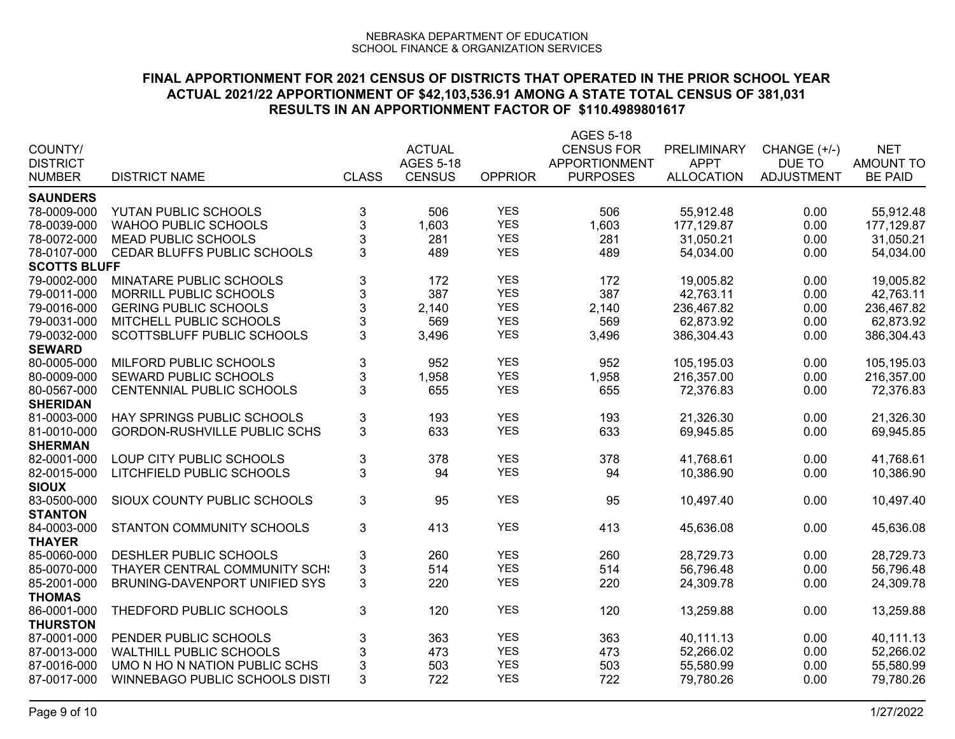|                            |                                                         |                           |                  |                | AGES 5-18            |                        |                   |                  |
|----------------------------|---------------------------------------------------------|---------------------------|------------------|----------------|----------------------|------------------------|-------------------|------------------|
| COUNTY/                    |                                                         |                           | <b>ACTUAL</b>    |                | <b>CENSUS FOR</b>    | PRELIMINARY            | CHANGE (+/-)      | <b>NET</b>       |
| <b>DISTRICT</b>            |                                                         |                           | <b>AGES 5-18</b> |                | <b>APPORTIONMENT</b> | <b>APPT</b>            | DUE TO            | <b>AMOUNT TO</b> |
| <b>NUMBER</b>              | <b>DISTRICT NAME</b>                                    | <b>CLASS</b>              | <b>CENSUS</b>    | <b>OPPRIOR</b> | <b>PURPOSES</b>      | <b>ALLOCATION</b>      | <b>ADJUSTMENT</b> | <b>BE PAID</b>   |
| <b>SAUNDERS</b>            |                                                         |                           |                  |                |                      |                        |                   |                  |
| 78-0009-000                | YUTAN PUBLIC SCHOOLS                                    | 3                         | 506              | <b>YES</b>     | 506                  | 55,912.48              | 0.00              | 55,912.48        |
| 78-0039-000                | <b>WAHOO PUBLIC SCHOOLS</b>                             | $\ensuremath{\mathsf{3}}$ | 1,603            | <b>YES</b>     | 1,603                | 177,129.87             | 0.00              | 177,129.87       |
| 78-0072-000                | <b>MEAD PUBLIC SCHOOLS</b>                              | $\mathfrak{S}$            | 281              | <b>YES</b>     | 281                  | 31,050.21              | 0.00              | 31,050.21        |
| 78-0107-000                | CEDAR BLUFFS PUBLIC SCHOOLS                             | 3                         | 489              | <b>YES</b>     | 489                  | 54,034.00              | 0.00              | 54,034.00        |
| <b>SCOTTS BLUFF</b>        |                                                         |                           |                  |                |                      |                        |                   |                  |
| 79-0002-000                | MINATARE PUBLIC SCHOOLS                                 | 3                         | 172              | <b>YES</b>     | 172                  | 19,005.82              | 0.00              | 19,005.82        |
| 79-0011-000                | <b>MORRILL PUBLIC SCHOOLS</b>                           |                           | 387              | <b>YES</b>     | 387                  | 42,763.11              | 0.00              | 42,763.11        |
| 79-0016-000                | <b>GERING PUBLIC SCHOOLS</b>                            | $\frac{3}{3}$             | 2,140            | <b>YES</b>     | 2,140                | 236,467.82             | 0.00              | 236,467.82       |
| 79-0031-000                | MITCHELL PUBLIC SCHOOLS                                 | 3                         | 569              | <b>YES</b>     | 569                  | 62.873.92              | 0.00              | 62,873.92        |
| 79-0032-000                | SCOTTSBLUFF PUBLIC SCHOOLS                              | 3                         | 3,496            | <b>YES</b>     | 3,496                | 386,304.43             | 0.00              | 386,304.43       |
| <b>SEWARD</b>              |                                                         |                           |                  |                |                      |                        |                   |                  |
| 80-0005-000                | MILFORD PUBLIC SCHOOLS                                  | $\ensuremath{\mathsf{3}}$ | 952              | <b>YES</b>     | 952                  | 105,195.03             | 0.00              | 105,195.03       |
| 80-0009-000                | SEWARD PUBLIC SCHOOLS                                   | 3                         | 1,958            | <b>YES</b>     | 1,958                | 216,357.00             | 0.00              | 216,357.00       |
| 80-0567-000                | CENTENNIAL PUBLIC SCHOOLS                               | 3                         | 655              | <b>YES</b>     | 655                  | 72,376.83              | 0.00              | 72,376.83        |
| <b>SHERIDAN</b>            |                                                         |                           |                  |                |                      |                        |                   |                  |
| 81-0003-000                | HAY SPRINGS PUBLIC SCHOOLS                              | 3                         | 193              | <b>YES</b>     | 193                  | 21,326.30              | 0.00              | 21,326.30        |
| 81-0010-000                | <b>GORDON-RUSHVILLE PUBLIC SCHS</b>                     | 3                         | 633              | <b>YES</b>     | 633                  | 69,945.85              | 0.00              | 69,945.85        |
| <b>SHERMAN</b>             |                                                         |                           |                  |                |                      |                        |                   |                  |
| 82-0001-000                | LOUP CITY PUBLIC SCHOOLS                                | $\ensuremath{\mathsf{3}}$ | 378              | <b>YES</b>     | 378                  | 41,768.61              | 0.00              | 41,768.61        |
| 82-0015-000                | LITCHFIELD PUBLIC SCHOOLS                               | 3                         | 94               | <b>YES</b>     | 94                   | 10,386.90              | 0.00              | 10,386.90        |
| <b>SIOUX</b>               |                                                         |                           |                  |                |                      |                        |                   |                  |
| 83-0500-000                | SIOUX COUNTY PUBLIC SCHOOLS                             | 3                         | 95               | <b>YES</b>     | 95                   | 10,497.40              | 0.00              | 10,497.40        |
| <b>STANTON</b>             |                                                         |                           |                  |                |                      |                        |                   |                  |
| 84-0003-000                | STANTON COMMUNITY SCHOOLS                               | 3                         | 413              | <b>YES</b>     | 413                  | 45,636.08              | 0.00              | 45,636.08        |
| <b>THAYER</b>              |                                                         |                           |                  |                |                      |                        |                   |                  |
| 85-0060-000                | DESHLER PUBLIC SCHOOLS                                  | 3                         | 260              | <b>YES</b>     | 260                  | 28,729.73              | 0.00              | 28,729.73        |
| 85-0070-000                | THAYER CENTRAL COMMUNITY SCH                            | $\mathfrak{S}$            | 514              | <b>YES</b>     | 514                  | 56,796.48              | 0.00              | 56,796.48        |
| 85-2001-000                | BRUNING-DAVENPORT UNIFIED SYS                           | 3                         | 220              | <b>YES</b>     | 220                  | 24,309.78              | 0.00              | 24,309.78        |
| <b>THOMAS</b>              |                                                         |                           |                  |                |                      |                        |                   |                  |
| 86-0001-000                | THEDFORD PUBLIC SCHOOLS                                 | 3                         | 120              | <b>YES</b>     | 120                  | 13,259.88              | 0.00              | 13,259.88        |
| <b>THURSTON</b>            |                                                         |                           |                  | <b>YES</b>     |                      |                        |                   |                  |
| 87-0001-000<br>87-0013-000 | PENDER PUBLIC SCHOOLS<br><b>WALTHILL PUBLIC SCHOOLS</b> | 3                         | 363              | <b>YES</b>     | 363                  | 40,111.13              | 0.00              | 40,111.13        |
| 87-0016-000                | UMO N HO N NATION PUBLIC SCHS                           | 3                         | 473              | <b>YES</b>     | 473                  | 52,266.02<br>55,580.99 | 0.00              | 52,266.02        |
| 87-0017-000                |                                                         | $\mathfrak{S}$<br>3       | 503<br>722       | <b>YES</b>     | 503<br>722           |                        | 0.00<br>0.00      | 55,580.99        |
|                            | WINNEBAGO PUBLIC SCHOOLS DISTI                          |                           |                  |                |                      | 79,780.26              |                   | 79,780.26        |